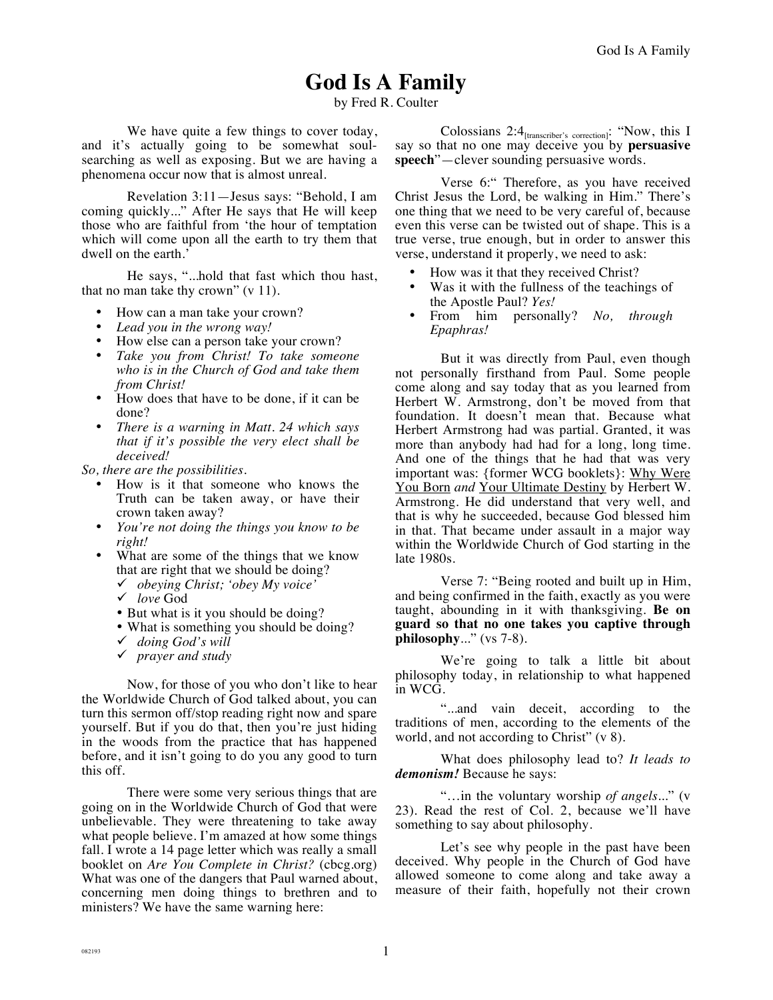# **God Is A Family**

by Fred R. Coulter

We have quite a few things to cover today, and it's actually going to be somewhat soulsearching as well as exposing. But we are having a phenomena occur now that is almost unreal.

Revelation 3:11—Jesus says: "Behold, I am coming quickly..." After He says that He will keep those who are faithful from 'the hour of temptation which will come upon all the earth to try them that dwell on the earth.'

He says, "...hold that fast which thou hast, that no man take thy crown" (v 11).

- How can a man take your crown?
- *Lead you in the wrong way!*
- How else can a person take your crown?
- *Take you from Christ! To take someone who is in the Church of God and take them from Christ!*
- How does that have to be done, if it can be done?
- *There is a warning in Matt. 24 which says that if it's possible the very elect shall be deceived!*

*So, there are the possibilities.* 

- How is it that someone who knows the Truth can be taken away, or have their crown taken away?
- *You're not doing the things you know to be right!*
- What are some of the things that we know that are right that we should be doing?
	- ! *obeying Christ; 'obey My voice'*
	- ! *love* God
	- But what is it you should be doing?
	- What is something you should be doing?
	- ! *doing God's will*
	- ! *prayer and study*

Now, for those of you who don't like to hear the Worldwide Church of God talked about, you can turn this sermon off/stop reading right now and spare yourself. But if you do that, then you're just hiding in the woods from the practice that has happened before, and it isn't going to do you any good to turn this off.

There were some very serious things that are going on in the Worldwide Church of God that were unbelievable. They were threatening to take away what people believe. I'm amazed at how some things fall. I wrote a 14 page letter which was really a small booklet on *Are You Complete in Christ?* (cbcg.org) What was one of the dangers that Paul warned about, concerning men doing things to brethren and to ministers? We have the same warning here:

Colossians 2:4[transcriber's correction]: "Now, this I say so that no one may deceive you by **persuasive speech**"—clever sounding persuasive words.

Verse 6:" Therefore, as you have received Christ Jesus the Lord, be walking in Him." There's one thing that we need to be very careful of, because even this verse can be twisted out of shape. This is a true verse, true enough, but in order to answer this verse, understand it properly, we need to ask:

- How was it that they received Christ?
- Was it with the fullness of the teachings of the Apostle Paul? *Yes!*
- From him personally? *No, through Epaphras!*

But it was directly from Paul, even though not personally firsthand from Paul. Some people come along and say today that as you learned from Herbert W. Armstrong, don't be moved from that foundation. It doesn't mean that. Because what Herbert Armstrong had was partial. Granted, it was more than anybody had had for a long, long time. And one of the things that he had that was very important was: {former WCG booklets}: Why Were You Born *and* Your Ultimate Destiny by Herbert W. Armstrong. He did understand that very well, and that is why he succeeded, because God blessed him in that. That became under assault in a major way within the Worldwide Church of God starting in the late 1980s.

Verse 7: "Being rooted and built up in Him, and being confirmed in the faith, exactly as you were taught, abounding in it with thanksgiving. **Be on guard so that no one takes you captive through philosophy**..." (vs 7-8).

We're going to talk a little bit about philosophy today, in relationship to what happened in WCG.

"...and vain deceit, according to the traditions of men, according to the elements of the world, and not according to Christ" (v 8).

What does philosophy lead to? *It leads to demonism!* Because he says:

"…in the voluntary worship *of angels*..." (v 23). Read the rest of Col. 2, because we'll have something to say about philosophy.

Let's see why people in the past have been deceived. Why people in the Church of God have allowed someone to come along and take away a measure of their faith, hopefully not their crown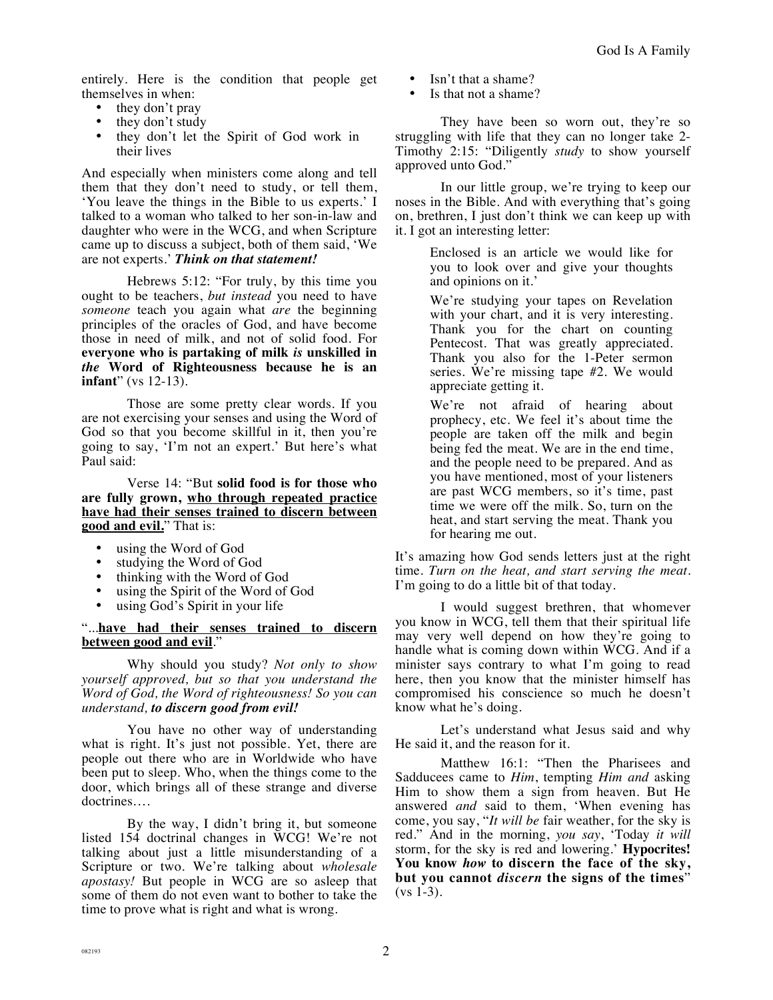entirely. Here is the condition that people get themselves in when:

- they don't pray
- they don't study<br>• they don't let the
- they don't let the Spirit of God work in their lives

And especially when ministers come along and tell them that they don't need to study, or tell them, 'You leave the things in the Bible to us experts.' I talked to a woman who talked to her son-in-law and daughter who were in the WCG, and when Scripture came up to discuss a subject, both of them said, 'We are not experts.' *Think on that statement!*

Hebrews 5:12: "For truly, by this time you ought to be teachers, *but instead* you need to have *someone* teach you again what *are* the beginning principles of the oracles of God, and have become those in need of milk, and not of solid food. For **everyone who is partaking of milk** *is* **unskilled in**  *the* **Word of Righteousness because he is an infant**" (vs 12-13).

Those are some pretty clear words. If you are not exercising your senses and using the Word of God so that you become skillful in it, then you're going to say, 'I'm not an expert.' But here's what Paul said:

Verse 14: "But **solid food is for those who are fully grown, who through repeated practice have had their senses trained to discern between good and evil.**" That is:

- using the Word of God
- studying the Word of God
- thinking with the Word of God
- using the Spirit of the Word of God
- using God's Spirit in your life

#### "...**have had their senses trained to discern between good and evil**."

Why should you study? *Not only to show yourself approved, but so that you understand the Word of God, the Word of righteousness! So you can understand, to discern good from evil!* 

You have no other way of understanding what is right. It's just not possible. Yet, there are people out there who are in Worldwide who have been put to sleep. Who, when the things come to the door, which brings all of these strange and diverse doctrines….

By the way, I didn't bring it, but someone listed 154 doctrinal changes in WCG! We're not talking about just a little misunderstanding of a Scripture or two. We're talking about *wholesale apostasy!* But people in WCG are so asleep that some of them do not even want to bother to take the time to prove what is right and what is wrong.

- Isn't that a shame?
- Is that not a shame?

They have been so worn out, they're so struggling with life that they can no longer take 2- Timothy 2:15: "Diligently *study* to show yourself approved unto God."

In our little group, we're trying to keep our noses in the Bible. And with everything that's going on, brethren, I just don't think we can keep up with it. I got an interesting letter:

> Enclosed is an article we would like for you to look over and give your thoughts and opinions on it.'

We're studying your tapes on Revelation with your chart, and it is very interesting. Thank you for the chart on counting Pentecost. That was greatly appreciated. Thank you also for the 1-Peter sermon series. We're missing tape #2. We would appreciate getting it.

We're not afraid of hearing about prophecy, etc. We feel it's about time the people are taken off the milk and begin being fed the meat. We are in the end time, and the people need to be prepared. And as you have mentioned, most of your listeners are past WCG members, so it's time, past time we were off the milk. So, turn on the heat, and start serving the meat. Thank you for hearing me out.

It's amazing how God sends letters just at the right time. *Turn on the heat, and start serving the meat.* I'm going to do a little bit of that today.

I would suggest brethren, that whomever you know in WCG, tell them that their spiritual life may very well depend on how they're going to handle what is coming down within WCG. And if a minister says contrary to what I'm going to read here, then you know that the minister himself has compromised his conscience so much he doesn't know what he's doing.

Let's understand what Jesus said and why He said it, and the reason for it.

Matthew 16:1: "Then the Pharisees and Sadducees came to *Him*, tempting *Him and* asking Him to show them a sign from heaven. But He answered *and* said to them, 'When evening has come, you say, "*It will be* fair weather, for the sky is red." And in the morning, *you say*, 'Today *it will* storm, for the sky is red and lowering.' **Hypocrites! You know** *how* **to discern the face of the sky, but you cannot** *discern* **the signs of the times**"  $(vs 1-3)$ .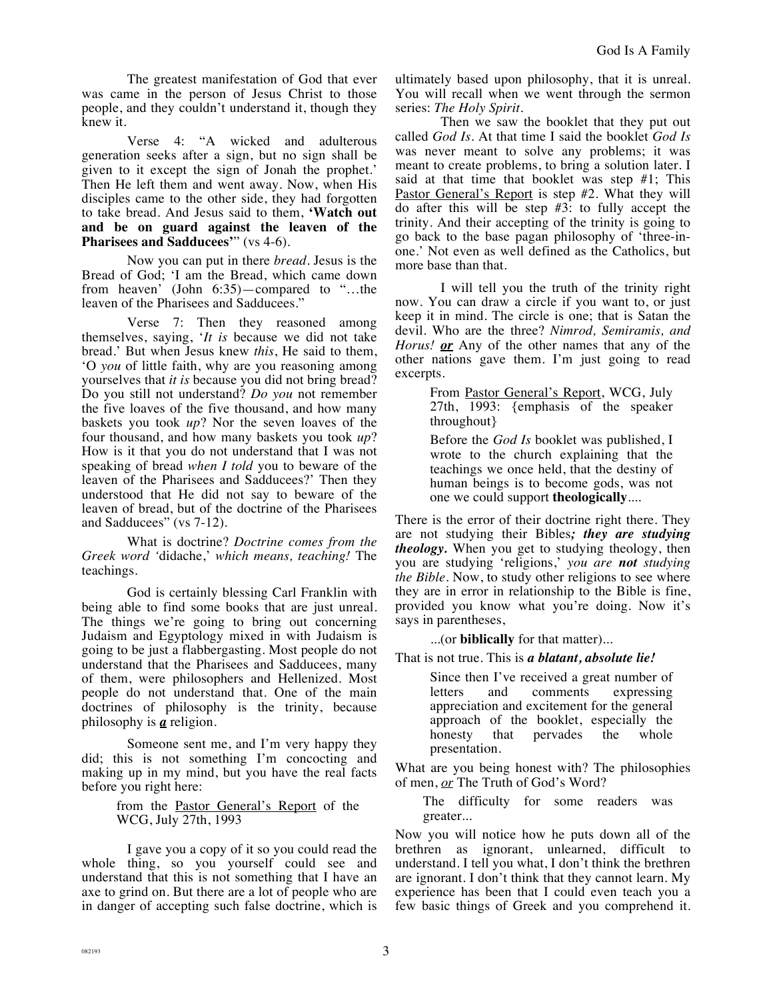The greatest manifestation of God that ever was came in the person of Jesus Christ to those people, and they couldn't understand it, though they knew it.

Verse 4: "A wicked and adulterous generation seeks after a sign, but no sign shall be given to it except the sign of Jonah the prophet.' Then He left them and went away. Now, when His disciples came to the other side, they had forgotten to take bread. And Jesus said to them, **'Watch out and be on guard against the leaven of the Pharisees and Sadducees**" (vs 4-6).

Now you can put in there *bread*. Jesus is the Bread of God; 'I am the Bread, which came down from heaven' (John 6:35)—compared to "…the leaven of the Pharisees and Sadducees."

Verse 7: Then they reasoned among themselves, saying, '*It is* because we did not take bread.' But when Jesus knew *this*, He said to them, 'O *you* of little faith, why are you reasoning among yourselves that *it is* because you did not bring bread? Do you still not understand? *Do you* not remember the five loaves of the five thousand, and how many baskets you took *up*? Nor the seven loaves of the four thousand, and how many baskets you took *up*? How is it that you do not understand that I was not speaking of bread *when I told* you to beware of the leaven of the Pharisees and Sadducees?' Then they understood that He did not say to beware of the leaven of bread, but of the doctrine of the Pharisees and Sadducees" (vs 7-12).

What is doctrine? *Doctrine comes from the Greek word '*didache,' *which means, teaching!* The teachings.

God is certainly blessing Carl Franklin with being able to find some books that are just unreal. The things we're going to bring out concerning Judaism and Egyptology mixed in with Judaism is going to be just a flabbergasting. Most people do not understand that the Pharisees and Sadducees, many of them, were philosophers and Hellenized. Most people do not understand that. One of the main doctrines of philosophy is the trinity, because philosophy is *a* religion.

Someone sent me, and I'm very happy they did; this is not something I'm concocting and making up in my mind, but you have the real facts before you right here:

> from the Pastor General's Report of the WCG, July 27th, 1993

I gave you a copy of it so you could read the whole thing, so you yourself could see and understand that this is not something that I have an axe to grind on. But there are a lot of people who are in danger of accepting such false doctrine, which is ultimately based upon philosophy, that it is unreal. You will recall when we went through the sermon series: *The Holy Spirit.*

Then we saw the booklet that they put out called *God Is*. At that time I said the booklet *God Is* was never meant to solve any problems; it was meant to create problems, to bring a solution later. I said at that time that booklet was step #1; This Pastor General's Report is step #2. What they will do after this will be step  $#3$ : to fully accept the trinity. And their accepting of the trinity is going to go back to the base pagan philosophy of 'three-inone.' Not even as well defined as the Catholics, but more base than that.

I will tell you the truth of the trinity right now. You can draw a circle if you want to, or just keep it in mind. The circle is one; that is Satan the devil. Who are the three? *Nimrod, Semiramis, and Horus! or* Any of the other names that any of the other nations gave them. I'm just going to read excerpts.

> From Pastor General's Report, WCG, July 27th, 1993: {emphasis of the speaker throughout}

> Before the *God Is* booklet was published, I wrote to the church explaining that the teachings we once held, that the destiny of human beings is to become gods, was not one we could support **theologically**....

There is the error of their doctrine right there. They are not studying their Bibles*; they are studying theology.* When you get to studying theology, then you are studying 'religions,' *you are not studying the Bible.* Now, to study other religions to see where they are in error in relationship to the Bible is fine, provided you know what you're doing. Now it's says in parentheses,

...(or **biblically** for that matter)...

That is not true. This is *a blatant, absolute lie!*

Since then I've received a great number of letters and comments expressing appreciation and excitement for the general approach of the booklet, especially the honesty that pervades the whole presentation.

What are you being honest with? The philosophies of men, *or* The Truth of God's Word?

The difficulty for some readers was greater...

Now you will notice how he puts down all of the brethren as ignorant, unlearned, difficult to understand. I tell you what, I don't think the brethren are ignorant. I don't think that they cannot learn. My experience has been that I could even teach you a few basic things of Greek and you comprehend it.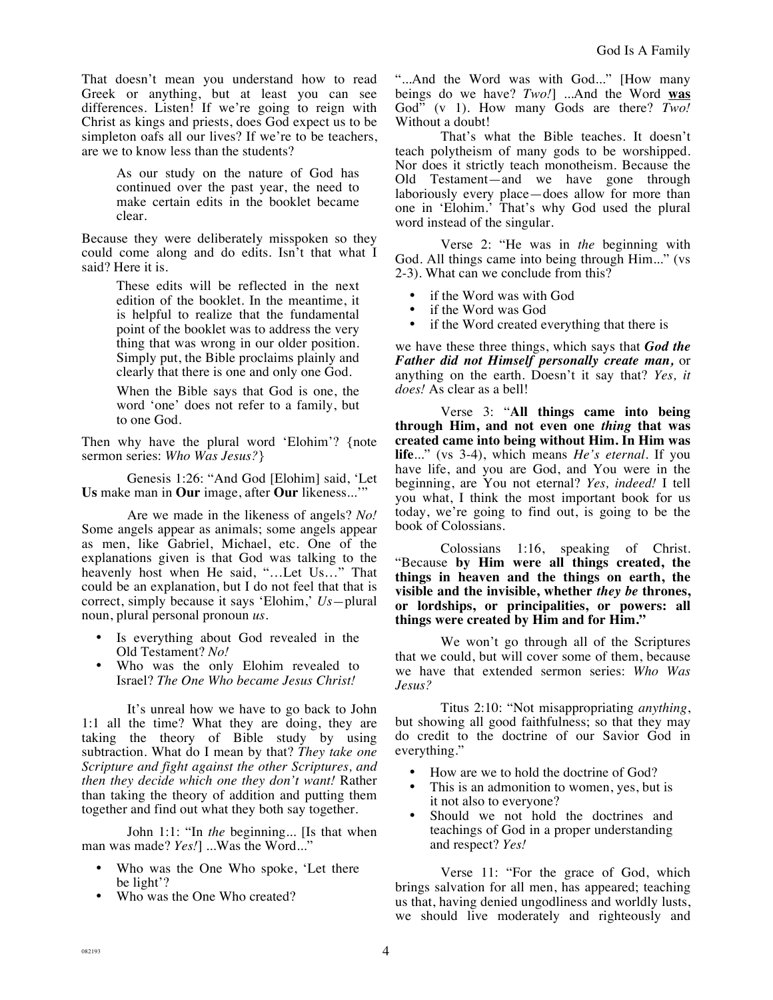That doesn't mean you understand how to read Greek or anything, but at least you can see differences. Listen! If we're going to reign with Christ as kings and priests, does God expect us to be simpleton oafs all our lives? If we're to be teachers, are we to know less than the students?

> As our study on the nature of God has continued over the past year, the need to make certain edits in the booklet became clear.

Because they were deliberately misspoken so they could come along and do edits. Isn't that what I said? Here it is.

> These edits will be reflected in the next edition of the booklet. In the meantime, it is helpful to realize that the fundamental point of the booklet was to address the very thing that was wrong in our older position. Simply put, the Bible proclaims plainly and clearly that there is one and only one God.

> When the Bible says that God is one, the word 'one' does not refer to a family, but to one God.

Then why have the plural word 'Elohim'? {note sermon series: *Who Was Jesus?*}

Genesis 1:26: "And God [Elohim] said, 'Let **Us** make man in **Our** image, after **Our** likeness...'"

Are we made in the likeness of angels? *No!* Some angels appear as animals; some angels appear as men, like Gabriel, Michael, etc. One of the explanations given is that God was talking to the heavenly host when He said, "…Let Us…" That could be an explanation, but I do not feel that that is correct, simply because it says 'Elohim,' *Us—*plural noun, plural personal pronoun *us*.

- Is everything about God revealed in the Old Testament? *No!*
- Who was the only Elohim revealed to Israel? *The One Who became Jesus Christ!*

It's unreal how we have to go back to John 1:1 all the time? What they are doing, they are taking the theory of Bible study by using subtraction. What do I mean by that? *They take one Scripture and fight against the other Scriptures, and then they decide which one they don't want!* Rather than taking the theory of addition and putting them together and find out what they both say together.

John 1:1: "In *the* beginning... [Is that when man was made? *Yes!*] ...Was the Word..."

- Who was the One Who spoke, 'Let there be light'?
- Who was the One Who created?

"...And the Word was with God..." [How many beings do we have? *Two!*] ...And the Word **was** God" (v 1). How many Gods are there? *Two!* Without a doubt!

That's what the Bible teaches. It doesn't teach polytheism of many gods to be worshipped. Nor does it strictly teach monotheism. Because the Old Testament—and we have gone through laboriously every place—does allow for more than one in 'Elohim.' That's why God used the plural word instead of the singular.

Verse 2: "He was in *the* beginning with God. All things came into being through Him..." (vs 2-3). What can we conclude from this?

- if the Word was with God
- if the Word was God
- if the Word created everything that there is

we have these three things, which says that *God the Father did not Himself personally create man,* or anything on the earth. Doesn't it say that? *Yes, it does!* As clear as a bell!

Verse 3: "**All things came into being through Him, and not even one** *thing* **that was created came into being without Him. In Him was life**..." (vs 3-4), which means *He's eternal*. If you have life, and you are God, and You were in the beginning, are You not eternal? *Yes, indeed!* I tell you what, I think the most important book for us today, we're going to find out, is going to be the book of Colossians.

Colossians 1:16, speaking of Christ. "Because **by Him were all things created, the things in heaven and the things on earth, the visible and the invisible, whether** *they be* **thrones, or lordships, or principalities, or powers: all things were created by Him and for Him."**

We won't go through all of the Scriptures that we could, but will cover some of them, because we have that extended sermon series: *Who Was Jesus?*

Titus 2:10: "Not misappropriating *anything*, but showing all good faithfulness; so that they may do credit to the doctrine of our Savior God in everything."

- How are we to hold the doctrine of God?
- This is an admonition to women, yes, but is it not also to everyone?
- Should we not hold the doctrines and teachings of God in a proper understanding and respect? *Yes!*

Verse 11: "For the grace of God, which brings salvation for all men, has appeared; teaching us that, having denied ungodliness and worldly lusts, we should live moderately and righteously and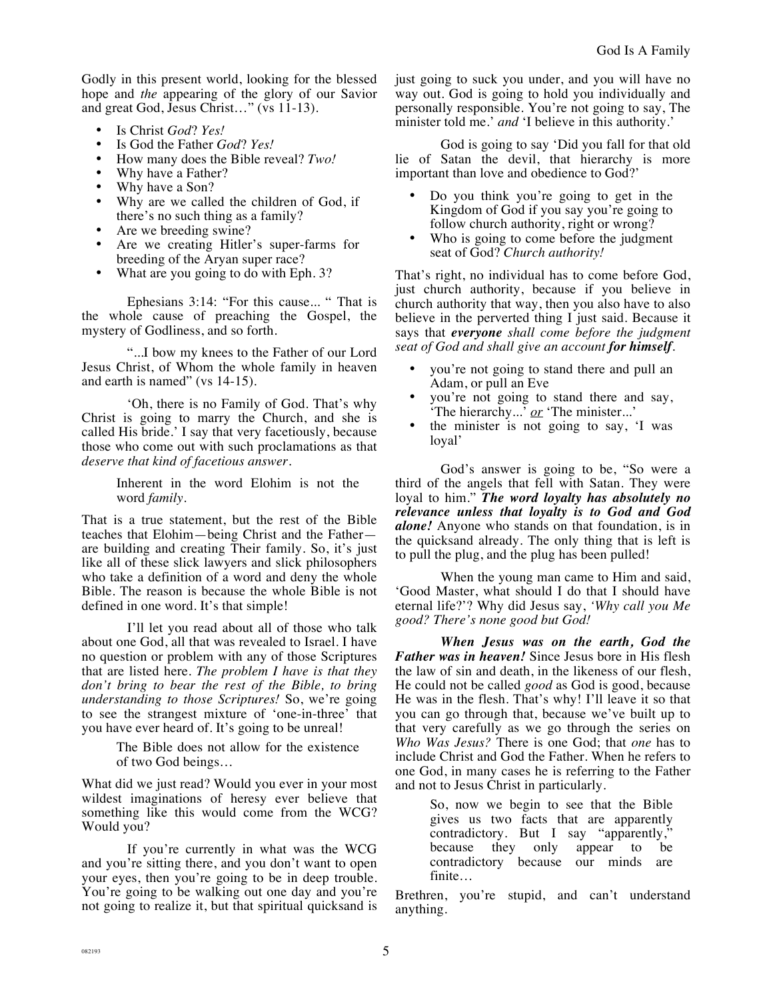Godly in this present world, looking for the blessed hope and *the* appearing of the glory of our Savior and great God, Jesus Christ…" (vs 11-13).

- Is Christ *God*? *Yes!*
- Is God the Father *God*? *Yes!*
- How many does the Bible reveal? *Two!*<br>• Why have a Father?
- Why have a Father?
- Why have a Son?
- Why are we called the children of God, if there's no such thing as a family?
- Are we breeding swine?
- Are we creating Hitler's super-farms for breeding of the Aryan super race?
- What are you going to do with Eph. 3?

Ephesians 3:14: "For this cause... " That is the whole cause of preaching the Gospel, the mystery of Godliness, and so forth.

"...I bow my knees to the Father of our Lord Jesus Christ, of Whom the whole family in heaven and earth is named" (vs 14-15).

'Oh, there is no Family of God. That's why Christ is going to marry the Church, and she is called His bride.' I say that very facetiously, because those who come out with such proclamations as that *deserve that kind of facetious answer.*

> Inherent in the word Elohim is not the word *family.*

That is a true statement, but the rest of the Bible teaches that Elohim—being Christ and the Father are building and creating Their family. So, it's just like all of these slick lawyers and slick philosophers who take a definition of a word and deny the whole Bible. The reason is because the whole Bible is not defined in one word. It's that simple!

I'll let you read about all of those who talk about one God, all that was revealed to Israel. I have no question or problem with any of those Scriptures that are listed here. *The problem I have is that they don't bring to bear the rest of the Bible, to bring understanding to those Scriptures!* So, we're going to see the strangest mixture of 'one-in-three' that you have ever heard of. It's going to be unreal!

> The Bible does not allow for the existence of two God beings…

What did we just read? Would you ever in your most wildest imaginations of heresy ever believe that something like this would come from the WCG? Would you?

If you're currently in what was the WCG and you're sitting there, and you don't want to open your eyes, then you're going to be in deep trouble. You're going to be walking out one day and you're not going to realize it, but that spiritual quicksand is just going to suck you under, and you will have no way out. God is going to hold you individually and personally responsible. You're not going to say, The minister told me.' *and* 'I believe in this authority.'

God is going to say 'Did you fall for that old lie of Satan the devil, that hierarchy is more important than love and obedience to God?'

- Do you think you're going to get in the Kingdom of God if you say you're going to follow church authority, right or wrong?
- Who is going to come before the judgment seat of God? *Church authority!*

That's right, no individual has to come before God, just church authority, because if you believe in church authority that way, then you also have to also believe in the perverted thing I just said. Because it says that *everyone shall come before the judgment seat of God and shall give an account for himself*.

- you're not going to stand there and pull an Adam, or pull an Eve
- you're not going to stand there and say, 'The hierarchy...' *or* 'The minister...'
- the minister is not going to say, 'I was loyal'

God's answer is going to be, "So were a third of the angels that fell with Satan. They were loyal to him." *The word loyalty has absolutely no relevance unless that loyalty is to God and God alone!* Anyone who stands on that foundation, is in the quicksand already. The only thing that is left is to pull the plug, and the plug has been pulled!

When the young man came to Him and said, 'Good Master, what should I do that I should have eternal life?'? Why did Jesus say, *'Why call you Me good? There's none good but God!* 

*When Jesus was on the earth, God the Father was in heaven!* Since Jesus bore in His flesh the law of sin and death, in the likeness of our flesh, He could not be called *good* as God is good, because He was in the flesh. That's why! I'll leave it so that you can go through that, because we've built up to that very carefully as we go through the series on *Who Was Jesus?* There is one God; that *one* has to include Christ and God the Father. When he refers to one God, in many cases he is referring to the Father and not to Jesus Christ in particularly.

> So, now we begin to see that the Bible gives us two facts that are apparently contradictory. But I say "apparently,"<br>because they only appear to be because they only appear to be contradictory because our minds are finite…

Brethren, you're stupid, and can't understand anything.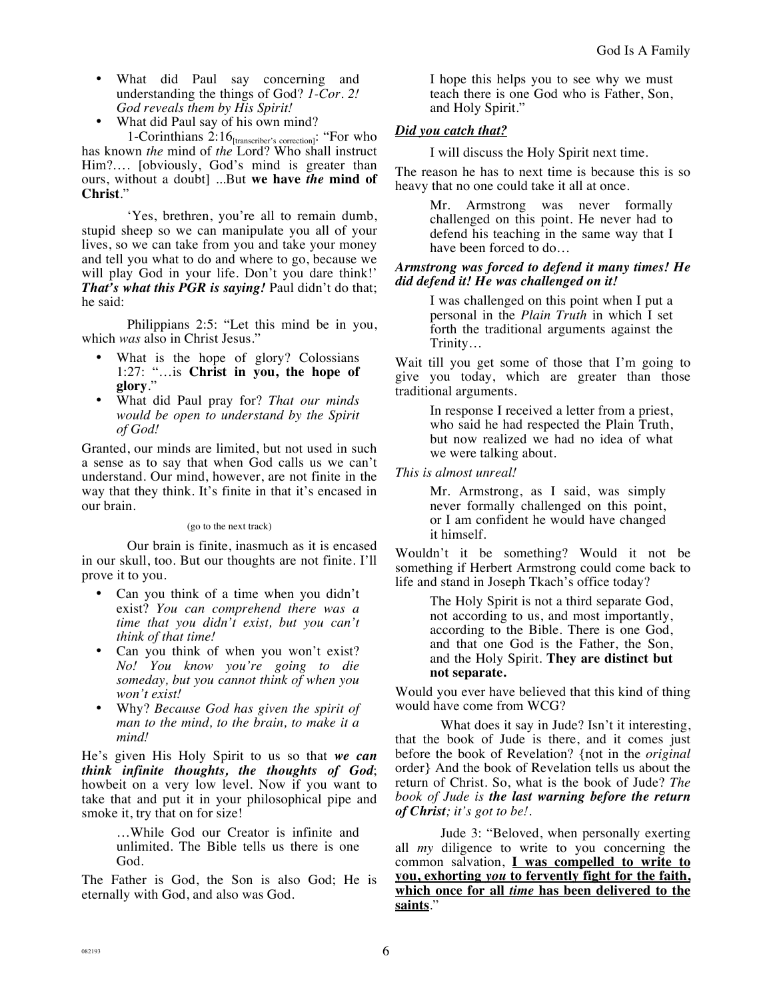- What did Paul say concerning and understanding the things of God? *1-Cor. 2! God reveals them by His Spirit!*
- What did Paul say of his own mind?

1-Corinthians 2:16[transcriber's correction]: "For who has known *the* mind of *the* Lord? Who shall instruct Him?…. [obviously, God's mind is greater than ours, without a doubt] ...But **we have** *the* **mind of Christ**."

'Yes, brethren, you're all to remain dumb, stupid sheep so we can manipulate you all of your lives, so we can take from you and take your money and tell you what to do and where to go, because we will play God in your life. Don't you dare think!' *That's what this PGR is saying!* Paul didn't do that; he said:

Philippians 2:5: "Let this mind be in you, which *was* also in Christ Jesus."

- What is the hope of glory? Colossians 1:27: "…is **Christ in you, the hope of glory**."
- What did Paul pray for? *That our minds would be open to understand by the Spirit of God!*

Granted, our minds are limited, but not used in such a sense as to say that when God calls us we can't understand. Our mind, however, are not finite in the way that they think. It's finite in that it's encased in our brain.

(go to the next track)

Our brain is finite, inasmuch as it is encased in our skull, too. But our thoughts are not finite. I'll prove it to you.

- Can you think of a time when you didn't exist? *You can comprehend there was a time that you didn't exist, but you can't think of that time!*
- Can you think of when you won't exist? *No! You know you're going to die someday, but you cannot think of when you won't exist!*
- Why? *Because God has given the spirit of man to the mind, to the brain, to make it a mind!*

He's given His Holy Spirit to us so that *we can think infinite thoughts, the thoughts of God*; howbeit on a very low level. Now if you want to take that and put it in your philosophical pipe and smoke it, try that on for size!

> …While God our Creator is infinite and unlimited. The Bible tells us there is one God.

The Father is God, the Son is also God; He is eternally with God, and also was God.

I hope this helps you to see why we must teach there is one God who is Father, Son, and Holy Spirit."

# *Did you catch that?*

I will discuss the Holy Spirit next time.

The reason he has to next time is because this is so heavy that no one could take it all at once.

> Mr. Armstrong was never formally challenged on this point. He never had to defend his teaching in the same way that I have been forced to do…

### *Armstrong was forced to defend it many times! He did defend it! He was challenged on it!*

I was challenged on this point when I put a personal in the *Plain Truth* in which I set forth the traditional arguments against the Trinity…

Wait till you get some of those that I'm going to give you today, which are greater than those traditional arguments.

> In response I received a letter from a priest, who said he had respected the Plain Truth, but now realized we had no idea of what we were talking about.

## *This is almost unreal!*

Mr. Armstrong, as I said, was simply never formally challenged on this point, or I am confident he would have changed it himself.

Wouldn't it be something? Would it not be something if Herbert Armstrong could come back to life and stand in Joseph Tkach's office today?

> The Holy Spirit is not a third separate God, not according to us, and most importantly, according to the Bible. There is one God, and that one God is the Father, the Son, and the Holy Spirit. **They are distinct but not separate.**

Would you ever have believed that this kind of thing would have come from WCG?

What does it say in Jude? Isn't it interesting, that the book of Jude is there, and it comes just before the book of Revelation? {not in the *original*  order} And the book of Revelation tells us about the return of Christ. So, what is the book of Jude? *The book of Jude is the last warning before the return of Christ; it's got to be!.*

Jude 3: "Beloved, when personally exerting all *my* diligence to write to you concerning the common salvation, **I was compelled to write to you, exhorting** *you* **to fervently fight for the faith, which once for all** *time* **has been delivered to the saints**."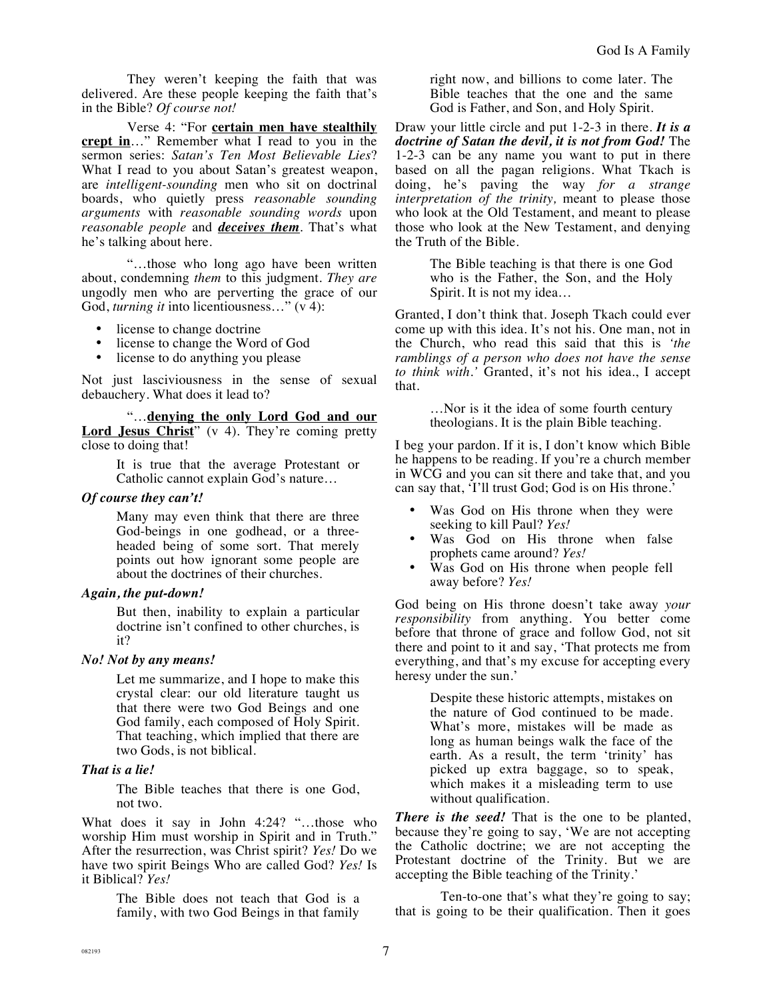They weren't keeping the faith that was delivered. Are these people keeping the faith that's in the Bible? *Of course not!*

Verse 4: "For **certain men have stealthily crept in**…" Remember what I read to you in the sermon series: *Satan's Ten Most Believable Lies*? What I read to you about Satan's greatest weapon, are *intelligent-sounding* men who sit on doctrinal boards, who quietly press *reasonable sounding arguments* with *reasonable sounding words* upon *reasonable people* and *deceives them*. That's what he's talking about here.

"…those who long ago have been written about, condemning *them* to this judgment. *They are* ungodly men who are perverting the grace of our God, *turning it* into licentiousness…" (v 4):

- license to change doctrine
- license to change the Word of God<br>• license to do anything you please
- license to do anything you please

Not just lasciviousness in the sense of sexual debauchery. What does it lead to?

"…**denying the only Lord God and our**  Lord **Jesus Christ**" (v 4). They're coming pretty close to doing that!

> It is true that the average Protestant or Catholic cannot explain God's nature…

#### *Of course they can't!*

Many may even think that there are three God-beings in one godhead, or a threeheaded being of some sort. That merely points out how ignorant some people are about the doctrines of their churches.

#### *Again, the put-down!*

But then, inability to explain a particular doctrine isn't confined to other churches, is it?

#### *No! Not by any means!*

Let me summarize, and I hope to make this crystal clear: our old literature taught us that there were two God Beings and one God family, each composed of Holy Spirit. That teaching, which implied that there are two Gods, is not biblical.

#### *That is a lie!*

The Bible teaches that there is one God, not two.

What does it say in John 4:24? "…those who worship Him must worship in Spirit and in Truth." After the resurrection, was Christ spirit? *Yes!* Do we have two spirit Beings Who are called God? *Yes!* Is it Biblical? *Yes!*

> The Bible does not teach that God is a family, with two God Beings in that family

right now, and billions to come later. The Bible teaches that the one and the same God is Father, and Son, and Holy Spirit.

Draw your little circle and put 1-2-3 in there. *It is a doctrine of Satan the devil, it is not from God!* The 1-2-3 can be any name you want to put in there based on all the pagan religions. What Tkach is doing, he's paving the way *for a strange interpretation of the trinity*, meant to please those who look at the Old Testament, and meant to please those who look at the New Testament, and denying the Truth of the Bible.

> The Bible teaching is that there is one God who is the Father, the Son, and the Holy Spirit. It is not my idea…

Granted, I don't think that. Joseph Tkach could ever come up with this idea. It's not his. One man, not in the Church, who read this said that this is *'the ramblings of a person who does not have the sense to think with.'* Granted, it's not his idea., I accept that.

> …Nor is it the idea of some fourth century theologians. It is the plain Bible teaching.

I beg your pardon. If it is, I don't know which Bible he happens to be reading. If you're a church member in WCG and you can sit there and take that, and you can say that, 'I'll trust God; God is on His throne.'

- Was God on His throne when they were seeking to kill Paul? *Yes!*
- Was God on His throne when false prophets came around? *Yes!*
- Was God on His throne when people fell away before? *Yes!*

God being on His throne doesn't take away *your responsibility* from anything. You better come before that throne of grace and follow God, not sit there and point to it and say, 'That protects me from everything, and that's my excuse for accepting every heresy under the sun.'

> Despite these historic attempts, mistakes on the nature of God continued to be made. What's more, mistakes will be made as long as human beings walk the face of the earth. As a result, the term 'trinity' has picked up extra baggage, so to speak, which makes it a misleading term to use without qualification.

*There is the seed!* That is the one to be planted, because they're going to say, 'We are not accepting the Catholic doctrine; we are not accepting the Protestant doctrine of the Trinity. But we are accepting the Bible teaching of the Trinity.'

Ten-to-one that's what they're going to say; that is going to be their qualification. Then it goes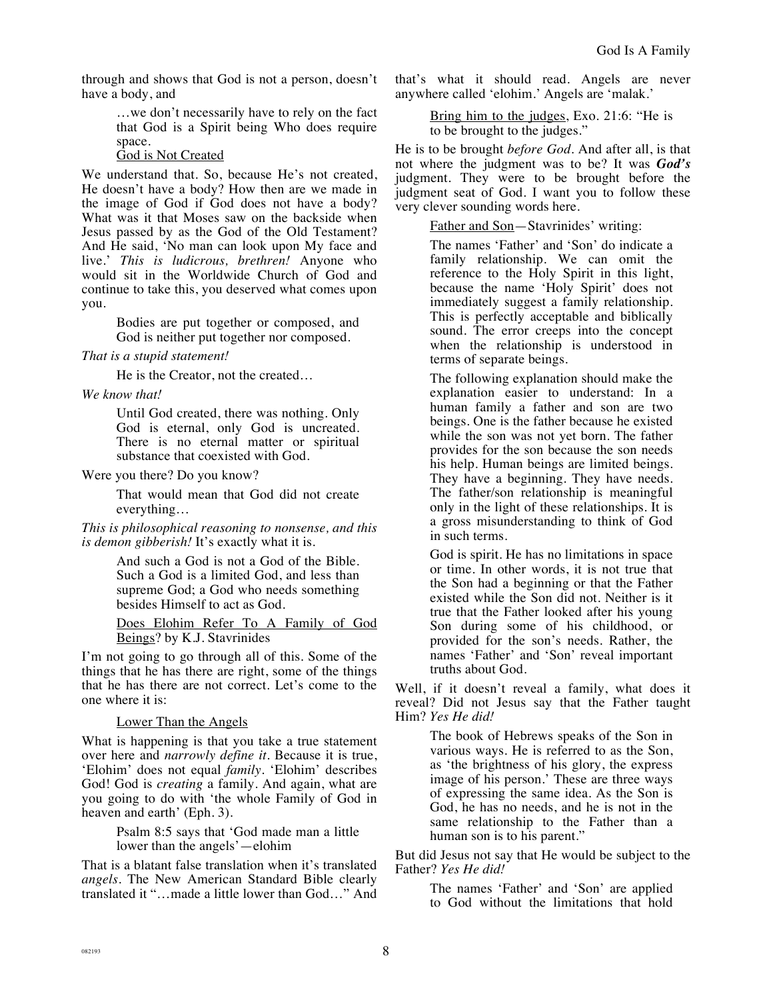through and shows that God is not a person, doesn't have a body, and

> …we don't necessarily have to rely on the fact that God is a Spirit being Who does require space.

God is Not Created

We understand that. So, because He's not created, He doesn't have a body? How then are we made in the image of God if God does not have a body? What was it that Moses saw on the backside when Jesus passed by as the God of the Old Testament? And He said, 'No man can look upon My face and live.' *This is ludicrous, brethren!* Anyone who would sit in the Worldwide Church of God and continue to take this, you deserved what comes upon you.

> Bodies are put together or composed, and God is neither put together nor composed.

#### *That is a stupid statement!*

He is the Creator, not the created…

*We know that!* 

Until God created, there was nothing. Only God is eternal, only God is uncreated. There is no eternal matter or spiritual substance that coexisted with God.

Were you there? Do you know?

That would mean that God did not create everything…

*This is philosophical reasoning to nonsense, and this is demon gibberish!* It's exactly what it is.

> And such a God is not a God of the Bible. Such a God is a limited God, and less than supreme God; a God who needs something besides Himself to act as God.

Does Elohim Refer To A Family of God Beings? by K.J. Stavrinides

I'm not going to go through all of this. Some of the things that he has there are right, some of the things that he has there are not correct. Let's come to the one where it is:

# Lower Than the Angels

What is happening is that you take a true statement over here and *narrowly define it*. Because it is true, 'Elohim' does not equal *family*. 'Elohim' describes God! God is *creating* a family. And again, what are you going to do with 'the whole Family of God in heaven and earth' (Eph. 3).

> Psalm 8:5 says that 'God made man a little lower than the angels'—elohim

That is a blatant false translation when it's translated *angels*. The New American Standard Bible clearly translated it "…made a little lower than God…" And that's what it should read. Angels are never anywhere called 'elohim.' Angels are 'malak.'

Bring him to the judges, Exo. 21:6: "He is to be brought to the judges."

He is to be brought *before God*. And after all, is that not where the judgment was to be? It was *God's* judgment. They were to be brought before the judgment seat of God. I want you to follow these very clever sounding words here.

Father and Son—Stavrinides' writing:

The names 'Father' and 'Son' do indicate a family relationship. We can omit the reference to the Holy Spirit in this light, because the name 'Holy Spirit' does not immediately suggest a family relationship. This is perfectly acceptable and biblically sound. The error creeps into the concept when the relationship is understood in terms of separate beings.

The following explanation should make the explanation easier to understand: In a human family a father and son are two beings. One is the father because he existed while the son was not yet born. The father provides for the son because the son needs his help. Human beings are limited beings. They have a beginning. They have needs. The father/son relationship is meaningful only in the light of these relationships. It is a gross misunderstanding to think of God in such terms.

God is spirit. He has no limitations in space or time. In other words, it is not true that the Son had a beginning or that the Father existed while the Son did not. Neither is it true that the Father looked after his young Son during some of his childhood, or provided for the son's needs. Rather, the names 'Father' and 'Son' reveal important truths about God.

Well, if it doesn't reveal a family, what does it reveal? Did not Jesus say that the Father taught Him? *Yes He did!*

> The book of Hebrews speaks of the Son in various ways. He is referred to as the Son, as 'the brightness of his glory, the express image of his person.' These are three ways of expressing the same idea. As the Son is God, he has no needs, and he is not in the same relationship to the Father than a human son is to his parent."

But did Jesus not say that He would be subject to the Father? *Yes He did!*

> The names 'Father' and 'Son' are applied to God without the limitations that hold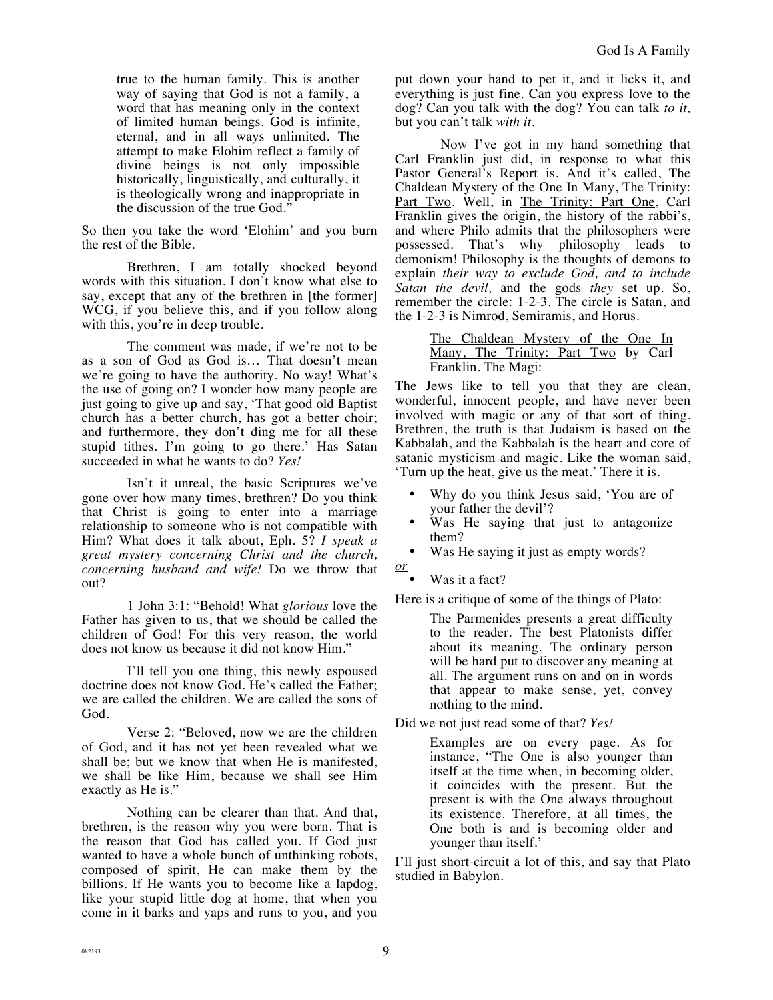true to the human family. This is another way of saying that God is not a family, a word that has meaning only in the context of limited human beings. God is infinite, eternal, and in all ways unlimited. The attempt to make Elohim reflect a family of divine beings is not only impossible historically, linguistically, and culturally, it is theologically wrong and inappropriate in the discussion of the true God."

So then you take the word 'Elohim' and you burn the rest of the Bible.

Brethren, I am totally shocked beyond words with this situation. I don't know what else to say, except that any of the brethren in [the former] WCG, if you believe this, and if you follow along with this, you're in deep trouble.

The comment was made, if we're not to be as a son of God as God is… That doesn't mean we're going to have the authority. No way! What's the use of going on? I wonder how many people are just going to give up and say, 'That good old Baptist church has a better church, has got a better choir; and furthermore, they don't ding me for all these stupid tithes. I'm going to go there.' Has Satan succeeded in what he wants to do? *Yes!*

Isn't it unreal, the basic Scriptures we've gone over how many times, brethren? Do you think that Christ is going to enter into a marriage relationship to someone who is not compatible with Him? What does it talk about, Eph. 5? *I speak a great mystery concerning Christ and the church, concerning husband and wife!* Do we throw that out?

1 John 3:1: "Behold! What *glorious* love the Father has given to us, that we should be called the children of God! For this very reason, the world does not know us because it did not know Him."

I'll tell you one thing, this newly espoused doctrine does not know God. He's called the Father; we are called the children. We are called the sons of God.

Verse 2: "Beloved, now we are the children of God, and it has not yet been revealed what we shall be; but we know that when He is manifested, we shall be like Him, because we shall see Him exactly as He is."

Nothing can be clearer than that. And that, brethren, is the reason why you were born. That is the reason that God has called you. If God just wanted to have a whole bunch of unthinking robots, composed of spirit, He can make them by the billions. If He wants you to become like a lapdog, like your stupid little dog at home, that when you come in it barks and yaps and runs to you, and you

put down your hand to pet it, and it licks it, and everything is just fine. Can you express love to the dog? Can you talk with the dog? You can talk *to it,* but you can't talk *with it*.

Now I've got in my hand something that Carl Franklin just did, in response to what this Pastor General's Report is. And it's called, The Chaldean Mystery of the One In Many, The Trinity: Part Two. Well, in The Trinity: Part One, Carl Franklin gives the origin, the history of the rabbi's, and where Philo admits that the philosophers were possessed. That's why philosophy leads to demonism! Philosophy is the thoughts of demons to explain *their way to exclude God, and to include Satan the devil,* and the gods *they* set up. So, remember the circle: 1-2-3. The circle is Satan, and the 1-2-3 is Nimrod, Semiramis, and Horus.

> The Chaldean Mystery of the One In Many, The Trinity: Part Two by Carl Franklin. The Magi:

The Jews like to tell you that they are clean, wonderful, innocent people, and have never been involved with magic or any of that sort of thing. Brethren, the truth is that Judaism is based on the Kabbalah, and the Kabbalah is the heart and core of satanic mysticism and magic. Like the woman said, 'Turn up the heat, give us the meat.' There it is.

- Why do you think Jesus said, 'You are of your father the devil'?
- Was He saying that just to antagonize them?
- Was He saying it just as empty words?
- *or* 
	- Was it a fact?

Here is a critique of some of the things of Plato:

The Parmenides presents a great difficulty to the reader. The best Platonists differ about its meaning. The ordinary person will be hard put to discover any meaning at all. The argument runs on and on in words that appear to make sense, yet, convey nothing to the mind.

Did we not just read some of that? *Yes!*

Examples are on every page. As for instance, "The One is also younger than itself at the time when, in becoming older, it coincides with the present. But the present is with the One always throughout its existence. Therefore, at all times, the One both is and is becoming older and younger than itself.'

I'll just short-circuit a lot of this, and say that Plato studied in Babylon.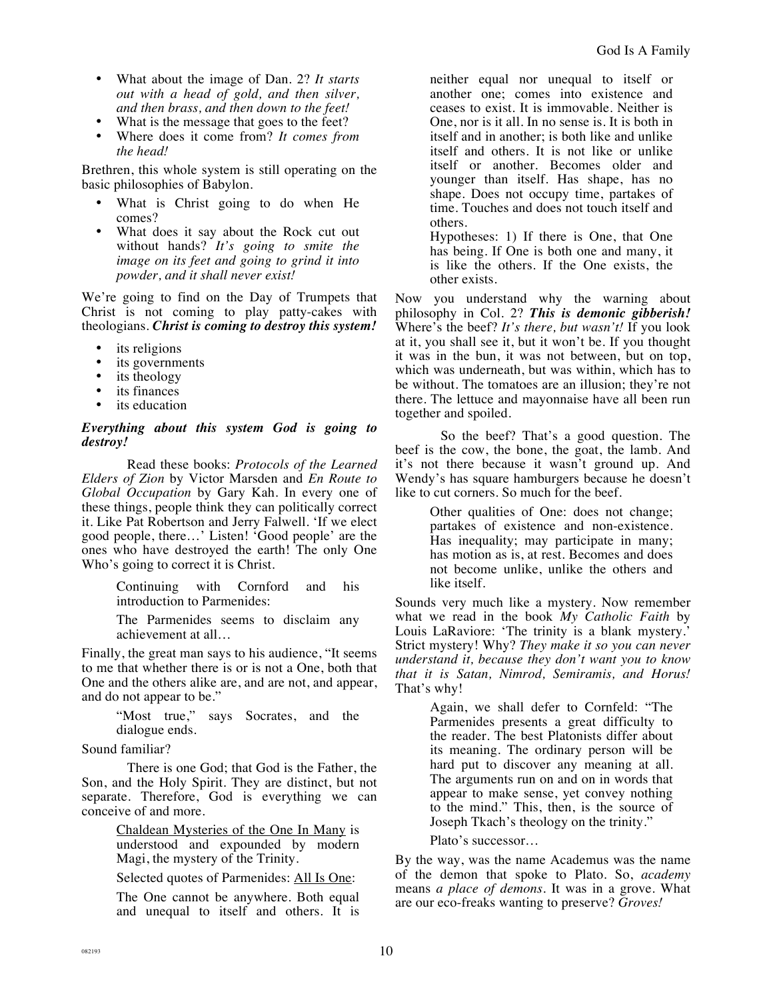- What about the image of Dan. 2? *It starts out with a head of gold, and then silver, and then brass, and then down to the feet!*
- What is the message that goes to the feet?
- Where does it come from? *It comes from the head!*

Brethren, this whole system is still operating on the basic philosophies of Babylon.

- What is Christ going to do when He comes?
- What does it say about the Rock cut out without hands? *It's going to smite the image on its feet and going to grind it into powder, and it shall never exist!*

We're going to find on the Day of Trumpets that Christ is not coming to play patty-cakes with theologians. *Christ is coming to destroy this system!*

- its religions
- its governments
- its theology
- its finances
- its education

*Everything about this system God is going to destroy!*

Read these books: *Protocols of the Learned Elders of Zion* by Victor Marsden and *En Route to Global Occupation* by Gary Kah. In every one of these things, people think they can politically correct it. Like Pat Robertson and Jerry Falwell. 'If we elect good people, there…' Listen! 'Good people' are the ones who have destroyed the earth! The only One Who's going to correct it is Christ.

> Continuing with Cornford and his introduction to Parmenides:

> The Parmenides seems to disclaim any achievement at all…

Finally, the great man says to his audience, "It seems to me that whether there is or is not a One, both that One and the others alike are, and are not, and appear, and do not appear to be."

> "Most true," says Socrates, and the dialogue ends.

Sound familiar?

There is one God; that God is the Father, the Son, and the Holy Spirit. They are distinct, but not separate. Therefore, God is everything we can conceive of and more.

> Chaldean Mysteries of the One In Many is understood and expounded by modern Magi, the mystery of the Trinity.

Selected quotes of Parmenides: All Is One:

The One cannot be anywhere. Both equal and unequal to itself and others. It is

neither equal nor unequal to itself or another one; comes into existence and ceases to exist. It is immovable. Neither is One, nor is it all. In no sense is. It is both in itself and in another; is both like and unlike itself and others. It is not like or unlike itself or another. Becomes older and younger than itself. Has shape, has no shape. Does not occupy time, partakes of time. Touches and does not touch itself and others.

Hypotheses: 1) If there is One, that One has being. If One is both one and many, it is like the others. If the One exists, the other exists.

Now you understand why the warning about philosophy in Col. 2? *This is demonic gibberish!* Where's the beef? *It's there, but wasn't!* If you look at it, you shall see it, but it won't be. If you thought it was in the bun, it was not between, but on top, which was underneath, but was within, which has to be without. The tomatoes are an illusion; they're not there. The lettuce and mayonnaise have all been run together and spoiled.

So the beef? That's a good question. The beef is the cow, the bone, the goat, the lamb. And it's not there because it wasn't ground up. And Wendy's has square hamburgers because he doesn't like to cut corners. So much for the beef.

> Other qualities of One: does not change; partakes of existence and non-existence. Has inequality; may participate in many; has motion as is, at rest. Becomes and does not become unlike, unlike the others and like itself.

Sounds very much like a mystery. Now remember what we read in the book *My Catholic Faith* by Louis LaRaviore: 'The trinity is a blank mystery.' Strict mystery! Why? *They make it so you can never understand it, because they don't want you to know that it is Satan, Nimrod, Semiramis, and Horus!* That's why!

> Again, we shall defer to Cornfeld: "The Parmenides presents a great difficulty to the reader. The best Platonists differ about its meaning. The ordinary person will be hard put to discover any meaning at all. The arguments run on and on in words that appear to make sense, yet convey nothing to the mind." This, then, is the source of Joseph Tkach's theology on the trinity."

Plato's successor…

By the way, was the name Academus was the name of the demon that spoke to Plato. So, *academy* means *a place of demons*. It was in a grove. What are our eco-freaks wanting to preserve? *Groves!*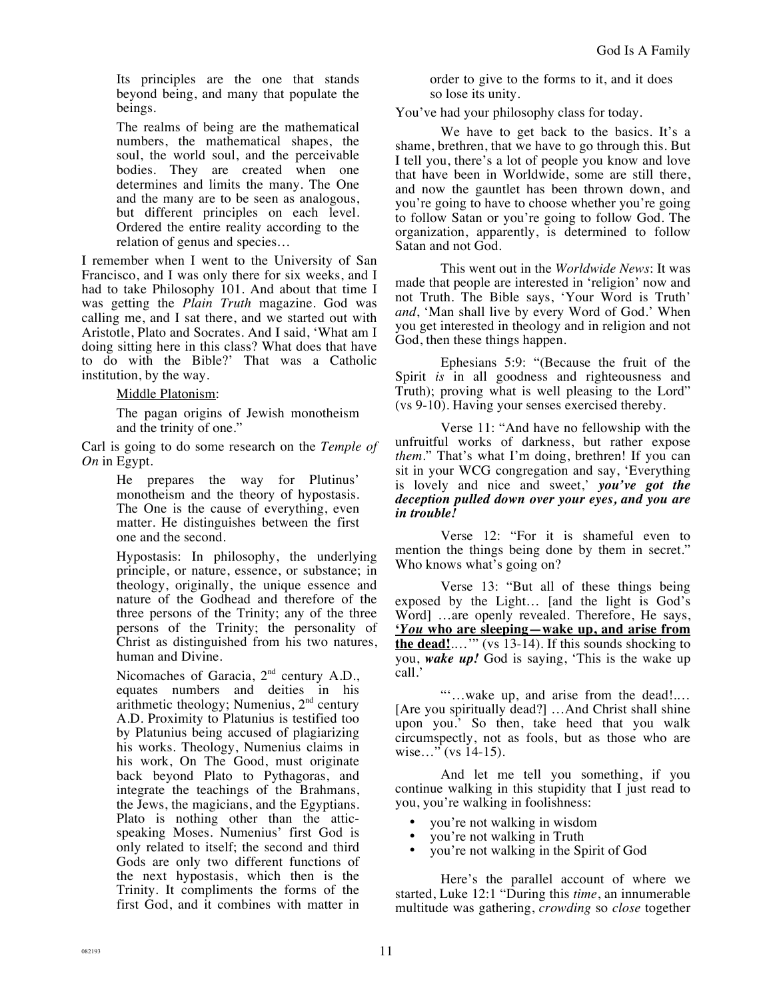Its principles are the one that stands beyond being, and many that populate the beings.

The realms of being are the mathematical numbers, the mathematical shapes, the soul, the world soul, and the perceivable bodies. They are created when one determines and limits the many. The One and the many are to be seen as analogous, but different principles on each level. Ordered the entire reality according to the relation of genus and species…

I remember when I went to the University of San Francisco, and I was only there for six weeks, and I had to take Philosophy 101. And about that time I was getting the *Plain Truth* magazine. God was calling me, and I sat there, and we started out with Aristotle, Plato and Socrates. And I said, 'What am I doing sitting here in this class? What does that have to do with the Bible?' That was a Catholic institution, by the way.

Middle Platonism:

The pagan origins of Jewish monotheism and the trinity of one."

Carl is going to do some research on the *Temple of On* in Egypt.

> He prepares the way for Plutinus' monotheism and the theory of hypostasis. The One is the cause of everything, even matter. He distinguishes between the first one and the second.

Hypostasis: In philosophy, the underlying principle, or nature, essence, or substance; in theology, originally, the unique essence and nature of the Godhead and therefore of the three persons of the Trinity; any of the three persons of the Trinity; the personality of Christ as distinguished from his two natures, human and Divine.

Nicomaches of Garacia, 2<sup>nd</sup> century A.D., equates numbers and deities in his arithmetic theology; Numenius, 2nd century A.D. Proximity to Platunius is testified too by Platunius being accused of plagiarizing his works. Theology, Numenius claims in his work, On The Good, must originate back beyond Plato to Pythagoras, and integrate the teachings of the Brahmans, the Jews, the magicians, and the Egyptians. Plato is nothing other than the atticspeaking Moses. Numenius' first God is only related to itself; the second and third Gods are only two different functions of the next hypostasis, which then is the Trinity. It compliments the forms of the first God, and it combines with matter in order to give to the forms to it, and it does so lose its unity.

You've had your philosophy class for today.

We have to get back to the basics. It's a shame, brethren, that we have to go through this. But I tell you, there's a lot of people you know and love that have been in Worldwide, some are still there, and now the gauntlet has been thrown down, and you're going to have to choose whether you're going to follow Satan or you're going to follow God. The organization, apparently, is determined to follow Satan and not God.

This went out in the *Worldwide News*: It was made that people are interested in 'religion' now and not Truth. The Bible says, 'Your Word is Truth' *and*, 'Man shall live by every Word of God.' When you get interested in theology and in religion and not God, then these things happen.

Ephesians 5:9: "(Because the fruit of the Spirit *is* in all goodness and righteousness and Truth); proving what is well pleasing to the Lord" (vs 9-10). Having your senses exercised thereby.

Verse 11: "And have no fellowship with the unfruitful works of darkness, but rather expose *them*." That's what I'm doing, brethren! If you can sit in your WCG congregation and say, 'Everything is lovely and nice and sweet,' *you've got the deception pulled down over your eyes, and you are in trouble!* 

Verse 12: "For it is shameful even to mention the things being done by them in secret." Who knows what's going on?

Verse 13: "But all of these things being exposed by the Light… [and the light is God's Word] …are openly revealed. Therefore, He says, **'***You* **who are sleeping—wake up, and arise from the dead!**.…'" (vs 13-14). If this sounds shocking to you, *wake up!* God is saying, 'This is the wake up call.'

"'…wake up, and arise from the dead!.… [Are you spiritually dead?] …And Christ shall shine upon you.' So then, take heed that you walk circumspectly, not as fools, but as those who are wise..." (vs 14-15).

And let me tell you something, if you continue walking in this stupidity that I just read to you, you're walking in foolishness:

- you're not walking in wisdom
- you're not walking in Truth
- you're not walking in the Spirit of God

Here's the parallel account of where we started, Luke 12:1 "During this *time*, an innumerable multitude was gathering, *crowding* so *close* together